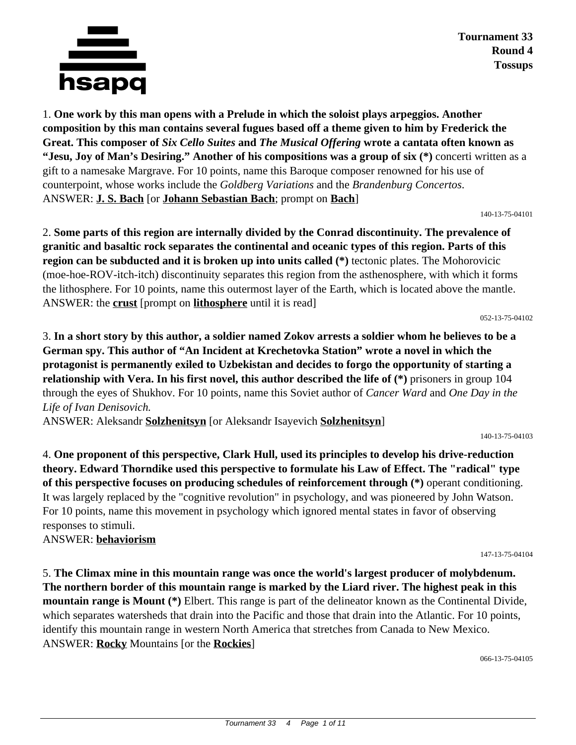

**Tournament 33 Round 4 Tossups**

1. **One work by this man opens with a Prelude in which the soloist plays arpeggios. Another composition by this man contains several fugues based off a theme given to him by Frederick the Great. This composer of** *Six Cello Suites* **and** *The Musical Offering* **wrote a cantata often known as "Jesu, Joy of Man's Desiring." Another of his compositions was a group of six (\*)** concerti written as a gift to a namesake Margrave. For 10 points, name this Baroque composer renowned for his use of counterpoint, whose works include the *Goldberg Variations* and the *Brandenburg Concertos*. ANSWER: **J. S. Bach** [or **Johann Sebastian Bach**; prompt on **Bach**]

140-13-75-04101

2. **Some parts of this region are internally divided by the Conrad discontinuity. The prevalence of granitic and basaltic rock separates the continental and oceanic types of this region. Parts of this region can be subducted and it is broken up into units called (\*)** tectonic plates. The Mohorovicic (moe-hoe-ROV-itch-itch) discontinuity separates this region from the asthenosphere, with which it forms the lithosphere. For 10 points, name this outermost layer of the Earth, which is located above the mantle. ANSWER: the **crust** [prompt on **lithosphere** until it is read]

052-13-75-04102

3. **In a short story by this author, a soldier named Zokov arrests a soldier whom he believes to be a German spy. This author of "An Incident at Krechetovka Station" wrote a novel in which the protagonist is permanently exiled to Uzbekistan and decides to forgo the opportunity of starting a relationship with Vera. In his first novel, this author described the life of (\*)** prisoners in group 104 through the eyes of Shukhov. For 10 points, name this Soviet author of *Cancer Ward* and *One Day in the Life of Ivan Denisovich.*

ANSWER: Aleksandr **Solzhenitsyn** [or Aleksandr Isayevich **Solzhenitsyn**]

140-13-75-04103

4. **One proponent of this perspective, Clark Hull, used its principles to develop his drive-reduction theory. Edward Thorndike used this perspective to formulate his Law of Effect. The "radical" type of this perspective focuses on producing schedules of reinforcement through (\*)** operant conditioning. It was largely replaced by the "cognitive revolution" in psychology, and was pioneered by John Watson. For 10 points, name this movement in psychology which ignored mental states in favor of observing responses to stimuli.

ANSWER: **behaviorism**

147-13-75-04104

5. **The Climax mine in this mountain range was once the world's largest producer of molybdenum. The northern border of this mountain range is marked by the Liard river. The highest peak in this mountain range is Mount (\*)** Elbert. This range is part of the delineator known as the Continental Divide, which separates watersheds that drain into the Pacific and those that drain into the Atlantic. For 10 points, identify this mountain range in western North America that stretches from Canada to New Mexico. ANSWER: **Rocky** Mountains [or the **Rockies**]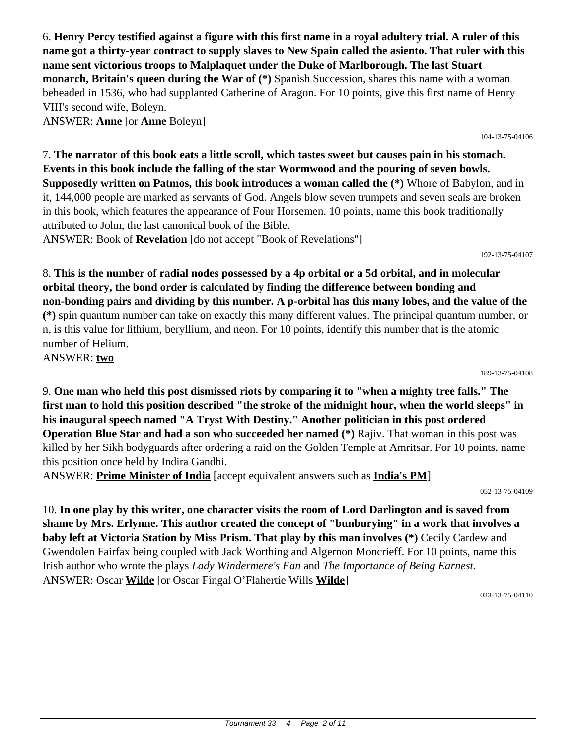6. **Henry Percy testified against a figure with this first name in a royal adultery trial. A ruler of this name got a thirty-year contract to supply slaves to New Spain called the asiento. That ruler with this name sent victorious troops to Malplaquet under the Duke of Marlborough. The last Stuart monarch, Britain's queen during the War of (\*)** Spanish Succession, shares this name with a woman beheaded in 1536, who had supplanted Catherine of Aragon. For 10 points, give this first name of Henry VIII's second wife, Boleyn.

ANSWER: **Anne** [or **Anne** Boleyn]

104-13-75-04106

7. **The narrator of this book eats a little scroll, which tastes sweet but causes pain in his stomach. Events in this book include the falling of the star Wormwood and the pouring of seven bowls. Supposedly written on Patmos, this book introduces a woman called the (\*)** Whore of Babylon, and in it, 144,000 people are marked as servants of God. Angels blow seven trumpets and seven seals are broken in this book, which features the appearance of Four Horsemen. 10 points, name this book traditionally attributed to John, the last canonical book of the Bible.

ANSWER: Book of **Revelation** [do not accept "Book of Revelations"]

192-13-75-04107

8. **This is the number of radial nodes possessed by a 4p orbital or a 5d orbital, and in molecular orbital theory, the bond order is calculated by finding the difference between bonding and non-bonding pairs and dividing by this number. A p-orbital has this many lobes, and the value of the (\*)** spin quantum number can take on exactly this many different values. The principal quantum number, or n, is this value for lithium, beryllium, and neon. For 10 points, identify this number that is the atomic number of Helium. ANSWER: **two**

189-13-75-04108

9. **One man who held this post dismissed riots by comparing it to "when a mighty tree falls." The first man to hold this position described "the stroke of the midnight hour, when the world sleeps" in his inaugural speech named "A Tryst With Destiny." Another politician in this post ordered Operation Blue Star and had a son who succeeded her named (\*)** Rajiv. That woman in this post was killed by her Sikh bodyguards after ordering a raid on the Golden Temple at Amritsar. For 10 points, name this position once held by Indira Gandhi.

ANSWER: **Prime Minister of India** [accept equivalent answers such as **India's PM**]

052-13-75-04109

10. **In one play by this writer, one character visits the room of Lord Darlington and is saved from shame by Mrs. Erlynne. This author created the concept of "bunburying" in a work that involves a baby left at Victoria Station by Miss Prism. That play by this man involves (\*)** Cecily Cardew and Gwendolen Fairfax being coupled with Jack Worthing and Algernon Moncrieff. For 10 points, name this Irish author who wrote the plays *Lady Windermere's Fan* and *The Importance of Being Earnest*. ANSWER: Oscar **Wilde** [or Oscar Fingal O'Flahertie Wills **Wilde**]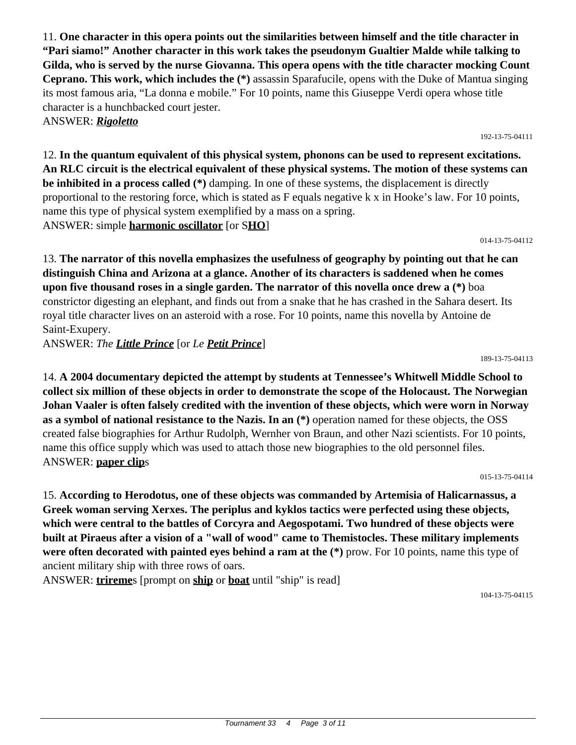11. **One character in this opera points out the similarities between himself and the title character in "Pari siamo!" Another character in this work takes the pseudonym Gualtier Malde while talking to Gilda, who is served by the nurse Giovanna. This opera opens with the title character mocking Count Ceprano. This work, which includes the (\*)** assassin Sparafucile, opens with the Duke of Mantua singing its most famous aria, "La donna e mobile." For 10 points, name this Giuseppe Verdi opera whose title character is a hunchbacked court jester. ANSWER: *Rigoletto*

12. **In the quantum equivalent of this physical system, phonons can be used to represent excitations. An RLC circuit is the electrical equivalent of these physical systems. The motion of these systems can be inhibited in a process called (\*)** damping. In one of these systems, the displacement is directly proportional to the restoring force, which is stated as F equals negative k x in Hooke's law. For 10 points, name this type of physical system exemplified by a mass on a spring. ANSWER: simple **harmonic oscillator** [or S**HO**]

014-13-75-04112

192-13-75-04111

13. **The narrator of this novella emphasizes the usefulness of geography by pointing out that he can distinguish China and Arizona at a glance. Another of its characters is saddened when he comes upon five thousand roses in a single garden. The narrator of this novella once drew a (\*)** boa constrictor digesting an elephant, and finds out from a snake that he has crashed in the Sahara desert. Its royal title character lives on an asteroid with a rose. For 10 points, name this novella by Antoine de Saint-Exupery.

ANSWER: *The Little Prince* [or *Le Petit Prince*]

14. **A 2004 documentary depicted the attempt by students at Tennessee's Whitwell Middle School to collect six million of these objects in order to demonstrate the scope of the Holocaust. The Norwegian Johan Vaaler is often falsely credited with the invention of these objects, which were worn in Norway as a symbol of national resistance to the Nazis. In an (\*)** operation named for these objects, the OSS created false biographies for Arthur Rudolph, Wernher von Braun, and other Nazi scientists. For 10 points, name this office supply which was used to attach those new biographies to the old personnel files. ANSWER: **paper clip**s

015-13-75-04114

15. **According to Herodotus, one of these objects was commanded by Artemisia of Halicarnassus, a Greek woman serving Xerxes. The periplus and kyklos tactics were perfected using these objects, which were central to the battles of Corcyra and Aegospotami. Two hundred of these objects were built at Piraeus after a vision of a "wall of wood" came to Themistocles. These military implements were often decorated with painted eyes behind a ram at the (\*)** prow. For 10 points, name this type of ancient military ship with three rows of oars.

ANSWER: **trireme**s [prompt on **ship** or **boat** until "ship" is read]

104-13-75-04115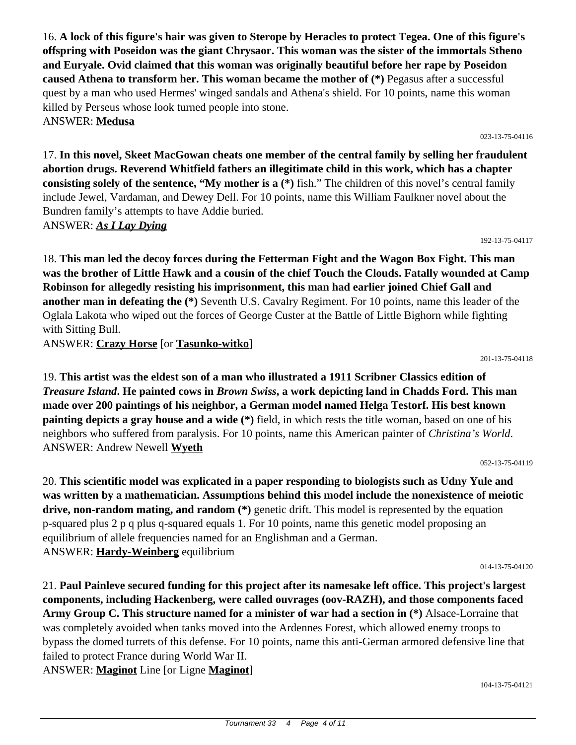16. **A lock of this figure's hair was given to Sterope by Heracles to protect Tegea. One of this figure's offspring with Poseidon was the giant Chrysaor. This woman was the sister of the immortals Stheno and Euryale. Ovid claimed that this woman was originally beautiful before her rape by Poseidon caused Athena to transform her. This woman became the mother of (\*)** Pegasus after a successful quest by a man who used Hermes' winged sandals and Athena's shield. For 10 points, name this woman killed by Perseus whose look turned people into stone. ANSWER: **Medusa**

17. **In this novel, Skeet MacGowan cheats one member of the central family by selling her fraudulent abortion drugs. Reverend Whitfield fathers an illegitimate child in this work, which has a chapter consisting solely of the sentence, "My mother is a (\*)** fish." The children of this novel's central family include Jewel, Vardaman, and Dewey Dell. For 10 points, name this William Faulkner novel about the Bundren family's attempts to have Addie buried. ANSWER: *As I Lay Dying*

192-13-75-04117

023-13-75-04116

18. **This man led the decoy forces during the Fetterman Fight and the Wagon Box Fight. This man was the brother of Little Hawk and a cousin of the chief Touch the Clouds. Fatally wounded at Camp Robinson for allegedly resisting his imprisonment, this man had earlier joined Chief Gall and another man in defeating the (\*)** Seventh U.S. Cavalry Regiment. For 10 points, name this leader of the Oglala Lakota who wiped out the forces of George Custer at the Battle of Little Bighorn while fighting with Sitting Bull.

ANSWER: **Crazy Horse** [or **Tasunko-witko**]

201-13-75-04118

19. **This artist was the eldest son of a man who illustrated a 1911 Scribner Classics edition of**  *Treasure Island***. He painted cows in** *Brown Swiss***, a work depicting land in Chadds Ford. This man made over 200 paintings of his neighbor, a German model named Helga Testorf. His best known painting depicts a gray house and a wide (\*)** field, in which rests the title woman, based on one of his neighbors who suffered from paralysis. For 10 points, name this American painter of *Christina's World*. ANSWER: Andrew Newell **Wyeth**

052-13-75-04119

20. **This scientific model was explicated in a paper responding to biologists such as Udny Yule and was written by a mathematician. Assumptions behind this model include the nonexistence of meiotic drive, non-random mating, and random (\*)** genetic drift. This model is represented by the equation p-squared plus 2 p q plus q-squared equals 1. For 10 points, name this genetic model proposing an equilibrium of allele frequencies named for an Englishman and a German. ANSWER: **Hardy-Weinberg** equilibrium

014-13-75-04120

21. **Paul Painleve secured funding for this project after its namesake left office. This project's largest components, including Hackenberg, were called ouvrages (oov-RAZH), and those components faced Army Group C. This structure named for a minister of war had a section in (\*)** Alsace-Lorraine that was completely avoided when tanks moved into the Ardennes Forest, which allowed enemy troops to bypass the domed turrets of this defense. For 10 points, name this anti-German armored defensive line that failed to protect France during World War II. ANSWER: **Maginot** Line [or Ligne **Maginot**]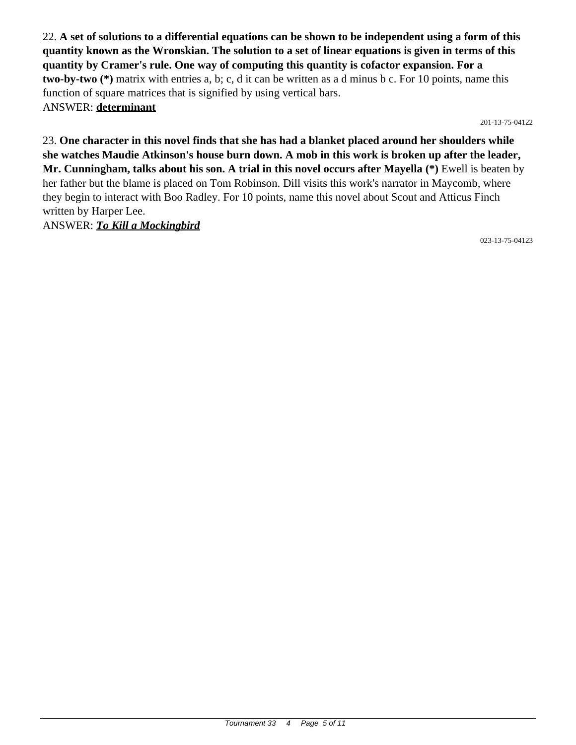22. **A set of solutions to a differential equations can be shown to be independent using a form of this quantity known as the Wronskian. The solution to a set of linear equations is given in terms of this quantity by Cramer's rule. One way of computing this quantity is cofactor expansion. For a two-by-two (\*)** matrix with entries a, b; c, d it can be written as a d minus b c. For 10 points, name this function of square matrices that is signified by using vertical bars. ANSWER: **determinant**

201-13-75-04122

23. **One character in this novel finds that she has had a blanket placed around her shoulders while she watches Maudie Atkinson's house burn down. A mob in this work is broken up after the leader, Mr. Cunningham, talks about his son. A trial in this novel occurs after Mayella (\*)** Ewell is beaten by her father but the blame is placed on Tom Robinson. Dill visits this work's narrator in Maycomb, where they begin to interact with Boo Radley. For 10 points, name this novel about Scout and Atticus Finch written by Harper Lee.

ANSWER: *To Kill a Mockingbird*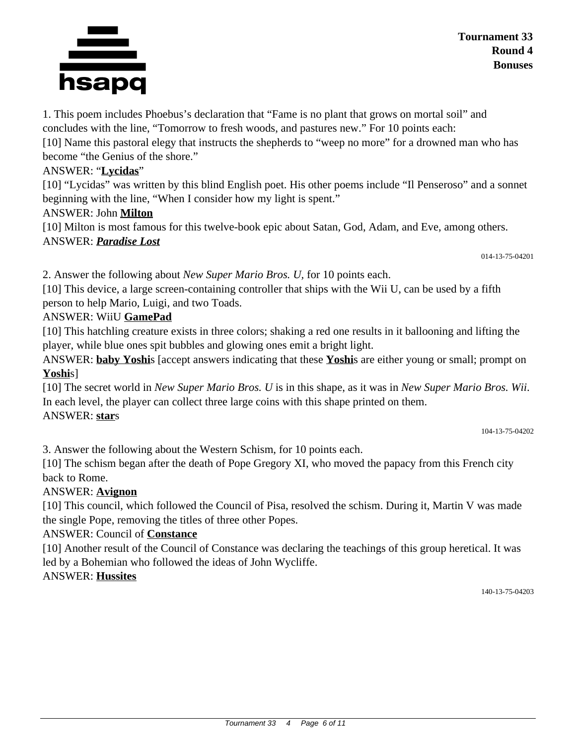#### Tournament 33 4 Page 6 of 11

1. This poem includes Phoebus's declaration that "Fame is no plant that grows on mortal soil" and concludes with the line, "Tomorrow to fresh woods, and pastures new." For 10 points each:

[10] Name this pastoral elegy that instructs the shepherds to "weep no more" for a drowned man who has become "the Genius of the shore."

# ANSWER: "**Lycidas**"

[10] "Lycidas" was written by this blind English poet. His other poems include "Il Penseroso" and a sonnet beginning with the line, "When I consider how my light is spent."

# ANSWER: John **Milton**

[10] Milton is most famous for this twelve-book epic about Satan, God, Adam, and Eve, among others. ANSWER: *Paradise Lost*

014-13-75-04201

2. Answer the following about *New Super Mario Bros. U,* for 10 points each.

[10] This device, a large screen-containing controller that ships with the Wii U, can be used by a fifth person to help Mario, Luigi, and two Toads.

# ANSWER: WiiU **GamePad**

[10] This hatchling creature exists in three colors; shaking a red one results in it ballooning and lifting the player, while blue ones spit bubbles and glowing ones emit a bright light.

ANSWER: **baby Yoshi**s [accept answers indicating that these **Yoshi**s are either young or small; prompt on **Yoshi**s]

[10] The secret world in *New Super Mario Bros. U* is in this shape, as it was in *New Super Mario Bros. Wii*. In each level, the player can collect three large coins with this shape printed on them. ANSWER: **star**s

104-13-75-04202

3. Answer the following about the Western Schism, for 10 points each.

[10] The schism began after the death of Pope Gregory XI, who moved the papacy from this French city back to Rome.

# ANSWER: **Avignon**

[10] This council, which followed the Council of Pisa, resolved the schism. During it, Martin V was made the single Pope, removing the titles of three other Popes.

# ANSWER: Council of **Constance**

[10] Another result of the Council of Constance was declaring the teachings of this group heretical. It was led by a Bohemian who followed the ideas of John Wycliffe.

# ANSWER: **Hussites**

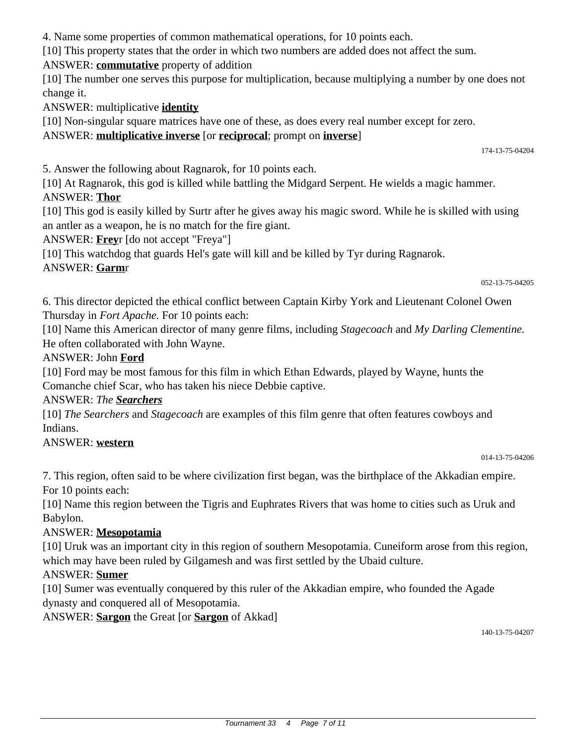4. Name some properties of common mathematical operations, for 10 points each.

[10] This property states that the order in which two numbers are added does not affect the sum.

ANSWER: **commutative** property of addition

[10] The number one serves this purpose for multiplication, because multiplying a number by one does not change it.

ANSWER: multiplicative **identity**

[10] Non-singular square matrices have one of these, as does every real number except for zero.

#### ANSWER: **multiplicative inverse** [or **reciprocal**; prompt on **inverse**]

174-13-75-04204

5. Answer the following about Ragnarok, for 10 points each.

[10] At Ragnarok, this god is killed while battling the Midgard Serpent. He wields a magic hammer. ANSWER: **Thor**

[10] This god is easily killed by Surtr after he gives away his magic sword. While he is skilled with using an antler as a weapon, he is no match for the fire giant.

ANSWER: **Frey**r [do not accept "Freya"]

[10] This watchdog that guards Hel's gate will kill and be killed by Tyr during Ragnarok.

#### ANSWER: **Garm**r

052-13-75-04205

6. This director depicted the ethical conflict between Captain Kirby York and Lieutenant Colonel Owen Thursday in *Fort Apache.* For 10 points each:

[10] Name this American director of many genre films, including *Stagecoach* and *My Darling Clementine.* He often collaborated with John Wayne.

#### ANSWER: John **Ford**

[10] Ford may be most famous for this film in which Ethan Edwards, played by Wayne, hunts the Comanche chief Scar, who has taken his niece Debbie captive.

#### ANSWER: *The Searchers*

[10] *The Searchers* and *Stagecoach* are examples of this film genre that often features cowboys and Indians.

#### ANSWER: **western**

014-13-75-04206

7. This region, often said to be where civilization first began, was the birthplace of the Akkadian empire. For 10 points each:

[10] Name this region between the Tigris and Euphrates Rivers that was home to cities such as Uruk and Babylon.

#### ANSWER: **Mesopotamia**

[10] Uruk was an important city in this region of southern Mesopotamia. Cuneiform arose from this region, which may have been ruled by Gilgamesh and was first settled by the Ubaid culture.

#### ANSWER: **Sumer**

[10] Sumer was eventually conquered by this ruler of the Akkadian empire, who founded the Agade dynasty and conquered all of Mesopotamia.

ANSWER: **Sargon** the Great [or **Sargon** of Akkad]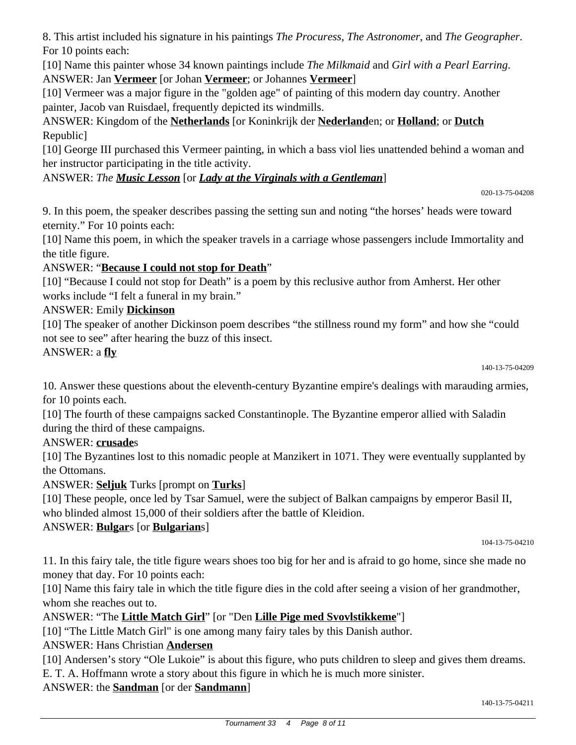8. This artist included his signature in his paintings *The Procuress*, *The Astronomer*, and *The Geographer*. For 10 points each:

[10] Name this painter whose 34 known paintings include *The Milkmaid* and *Girl with a Pearl Earring*. ANSWER: Jan **Vermeer** [or Johan **Vermeer**; or Johannes **Vermeer**]

[10] Vermeer was a major figure in the "golden age" of painting of this modern day country. Another painter, Jacob van Ruisdael, frequently depicted its windmills.

ANSWER: Kingdom of the **Netherlands** [or Koninkrijk der **Nederland**en; or **Holland**; or **Dutch** Republic]

[10] George III purchased this Vermeer painting, in which a bass viol lies unattended behind a woman and her instructor participating in the title activity.

## ANSWER: *The Music Lesson* [or *Lady at the Virginals with a Gentleman*]

020-13-75-04208

9. In this poem, the speaker describes passing the setting sun and noting "the horses' heads were toward eternity." For 10 points each:

[10] Name this poem, in which the speaker travels in a carriage whose passengers include Immortality and the title figure.

## ANSWER: "**Because I could not stop for Death**"

[10] "Because I could not stop for Death" is a poem by this reclusive author from Amherst. Her other works include "I felt a funeral in my brain."

#### ANSWER: Emily **Dickinson**

[10] The speaker of another Dickinson poem describes "the stillness round my form" and how she "could not see to see" after hearing the buzz of this insect.

#### ANSWER: a **fly**

140-13-75-04209

10. Answer these questions about the eleventh-century Byzantine empire's dealings with marauding armies, for 10 points each.

[10] The fourth of these campaigns sacked Constantinople. The Byzantine emperor allied with Saladin during the third of these campaigns.

#### ANSWER: **crusade**s

[10] The Byzantines lost to this nomadic people at Manzikert in 1071. They were eventually supplanted by the Ottomans.

ANSWER: **Seljuk** Turks [prompt on **Turks**]

[10] These people, once led by Tsar Samuel, were the subject of Balkan campaigns by emperor Basil II, who blinded almost 15,000 of their soldiers after the battle of Kleidion.

## ANSWER: **Bulgar**s [or **Bulgarian**s]

104-13-75-04210

11. In this fairy tale, the title figure wears shoes too big for her and is afraid to go home, since she made no money that day. For 10 points each:

[10] Name this fairy tale in which the title figure dies in the cold after seeing a vision of her grandmother, whom she reaches out to.

## ANSWER: "The **Little Match Girl**" [or "Den **Lille Pige med Svovlstikkeme**"]

[10] "The Little Match Girl" is one among many fairy tales by this Danish author.

## ANSWER: Hans Christian **Andersen**

[10] Andersen's story "Ole Lukoie" is about this figure, who puts children to sleep and gives them dreams.

E. T. A. Hoffmann wrote a story about this figure in which he is much more sinister.

ANSWER: the **Sandman** [or der **Sandmann**]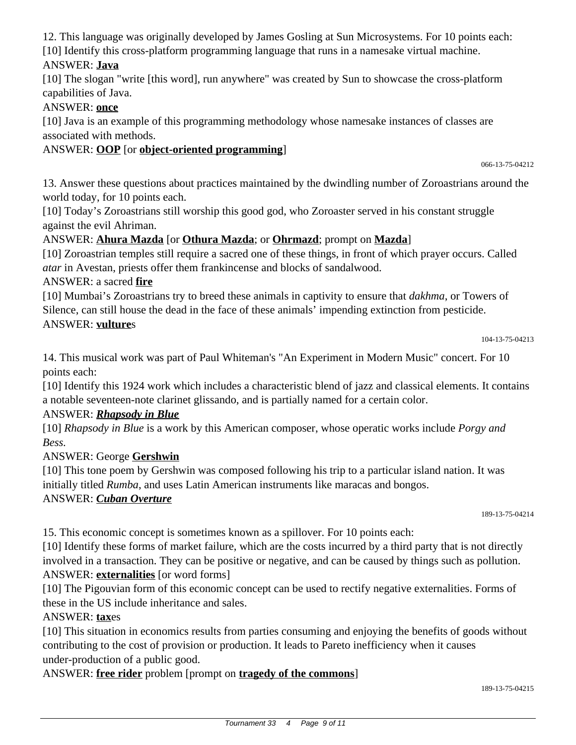12. This language was originally developed by James Gosling at Sun Microsystems. For 10 points each:

[10] Identify this cross-platform programming language that runs in a namesake virtual machine.

#### ANSWER: **Java**

[10] The slogan "write [this word], run anywhere" was created by Sun to showcase the cross-platform capabilities of Java.

#### ANSWER: **once**

[10] Java is an example of this programming methodology whose namesake instances of classes are associated with methods.

#### ANSWER: **OOP** [or **object-oriented programming**]

066-13-75-04212

13. Answer these questions about practices maintained by the dwindling number of Zoroastrians around the world today, for 10 points each.

[10] Today's Zoroastrians still worship this good god, who Zoroaster served in his constant struggle against the evil Ahriman.

#### ANSWER: **Ahura Mazda** [or **Othura Mazda**; or **Ohrmazd**; prompt on **Mazda**]

[10] Zoroastrian temples still require a sacred one of these things, in front of which prayer occurs. Called *atar* in Avestan, priests offer them frankincense and blocks of sandalwood.

ANSWER: a sacred **fire**

[10] Mumbai's Zoroastrians try to breed these animals in captivity to ensure that *dakhma*, or Towers of Silence, can still house the dead in the face of these animals' impending extinction from pesticide. ANSWER: **vulture**s

104-13-75-04213

14. This musical work was part of Paul Whiteman's "An Experiment in Modern Music" concert. For 10 points each:

[10] Identify this 1924 work which includes a characteristic blend of jazz and classical elements. It contains a notable seventeen-note clarinet glissando, and is partially named for a certain color.

#### ANSWER: *Rhapsody in Blue*

[10] *Rhapsody in Blue* is a work by this American composer, whose operatic works include *Porgy and Bess.*

#### ANSWER: George **Gershwin**

[10] This tone poem by Gershwin was composed following his trip to a particular island nation. It was initially titled *Rumba*, and uses Latin American instruments like maracas and bongos.

#### ANSWER: *Cuban Overture*

189-13-75-04214

15. This economic concept is sometimes known as a spillover. For 10 points each:

[10] Identify these forms of market failure, which are the costs incurred by a third party that is not directly involved in a transaction. They can be positive or negative, and can be caused by things such as pollution. ANSWER: **externalities** [or word forms]

[10] The Pigouvian form of this economic concept can be used to rectify negative externalities. Forms of these in the US include inheritance and sales.

## ANSWER: **tax**es

[10] This situation in economics results from parties consuming and enjoying the benefits of goods without contributing to the cost of provision or production. It leads to Pareto inefficiency when it causes under-production of a public good.

ANSWER: **free rider** problem [prompt on **tragedy of the commons**]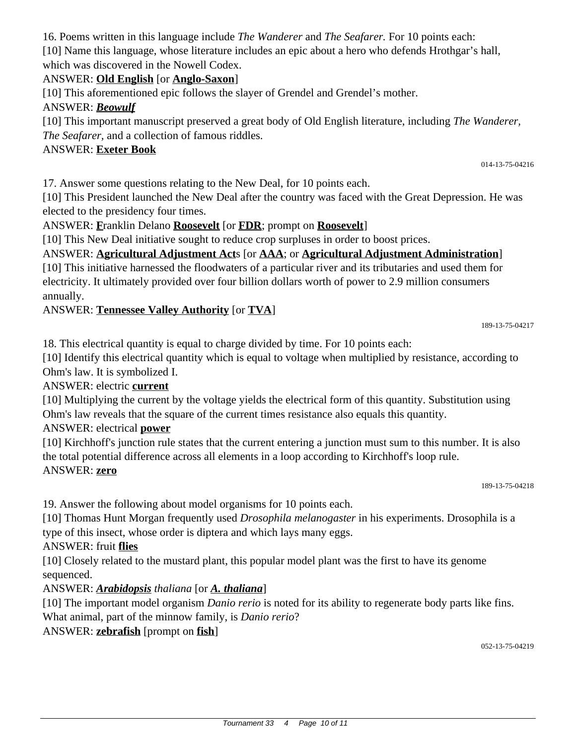16. Poems written in this language include *The Wanderer* and *The Seafarer.* For 10 points each:

[10] Name this language, whose literature includes an epic about a hero who defends Hrothgar's hall, which was discovered in the Nowell Codex.

## ANSWER: **Old English** [or **Anglo-Saxon**]

[10] This aforementioned epic follows the slayer of Grendel and Grendel's mother.

## ANSWER: *Beowulf*

[10] This important manuscript preserved a great body of Old English literature, including *The Wanderer, The Seafarer,* and a collection of famous riddles.

#### ANSWER: **Exeter Book**

17. Answer some questions relating to the New Deal, for 10 points each.

[10] This President launched the New Deal after the country was faced with the Great Depression. He was elected to the presidency four times.

ANSWER: **F**ranklin Delano **Roosevelt** [or **FDR**; prompt on **Roosevelt**]

[10] This New Deal initiative sought to reduce crop surpluses in order to boost prices.

# ANSWER: **Agricultural Adjustment Act**s [or **AAA**; or **Agricultural Adjustment Administration**]

[10] This initiative harnessed the floodwaters of a particular river and its tributaries and used them for electricity. It ultimately provided over four billion dollars worth of power to 2.9 million consumers annually.

#### ANSWER: **Tennessee Valley Authority** [or **TVA**]

189-13-75-04217

014-13-75-04216

18. This electrical quantity is equal to charge divided by time. For 10 points each:

[10] Identify this electrical quantity which is equal to voltage when multiplied by resistance, according to Ohm's law. It is symbolized I.

ANSWER: electric **current**

[10] Multiplying the current by the voltage yields the electrical form of this quantity. Substitution using Ohm's law reveals that the square of the current times resistance also equals this quantity.

#### ANSWER: electrical **power**

[10] Kirchhoff's junction rule states that the current entering a junction must sum to this number. It is also the total potential difference across all elements in a loop according to Kirchhoff's loop rule. ANSWER: **zero**

189-13-75-04218

19. Answer the following about model organisms for 10 points each.

[10] Thomas Hunt Morgan frequently used *Drosophila melanogaster* in his experiments. Drosophila is a type of this insect, whose order is diptera and which lays many eggs.

ANSWER: fruit **flies**

[10] Closely related to the mustard plant, this popular model plant was the first to have its genome sequenced.

#### ANSWER: *Arabidopsis thaliana* [or *A. thaliana*]

[10] The important model organism *Danio rerio* is noted for its ability to regenerate body parts like fins. What animal, part of the minnow family, is *Danio rerio*?

## ANSWER: **zebrafish** [prompt on **fish**]